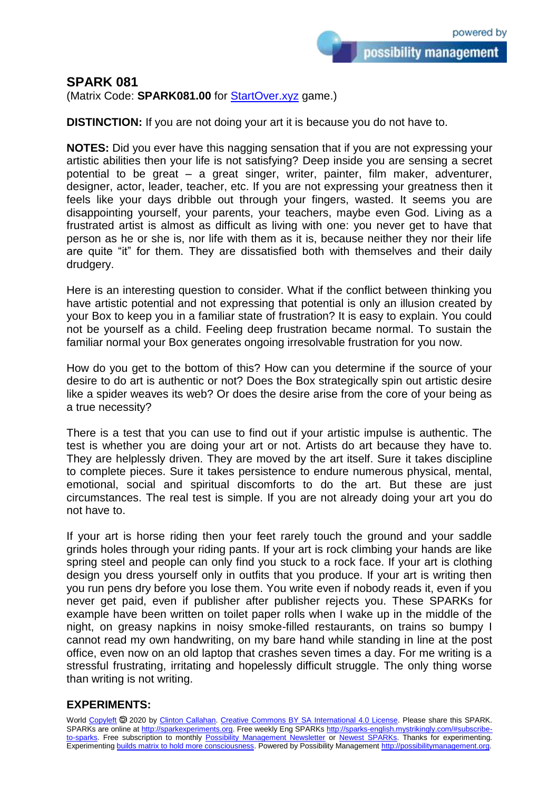possibility management

## **SPARK 081**

(Matrix Code: **SPARK081.00** for **StartOver.xyz** game.)

**DISTINCTION:** If you are not doing your art it is because you do not have to.

**NOTES:** Did you ever have this nagging sensation that if you are not expressing your artistic abilities then your life is not satisfying? Deep inside you are sensing a secret potential to be great – a great singer, writer, painter, film maker, adventurer, designer, actor, leader, teacher, etc. If you are not expressing your greatness then it feels like your days dribble out through your fingers, wasted. It seems you are disappointing yourself, your parents, your teachers, maybe even God. Living as a frustrated artist is almost as difficult as living with one: you never get to have that person as he or she is, nor life with them as it is, because neither they nor their life are quite "it" for them. They are dissatisfied both with themselves and their daily drudgery.

Here is an interesting question to consider. What if the conflict between thinking you have artistic potential and not expressing that potential is only an illusion created by your Box to keep you in a familiar state of frustration? It is easy to explain. You could not be yourself as a child. Feeling deep frustration became normal. To sustain the familiar normal your Box generates ongoing irresolvable frustration for you now.

How do you get to the bottom of this? How can you determine if the source of your desire to do art is authentic or not? Does the Box strategically spin out artistic desire like a spider weaves its web? Or does the desire arise from the core of your being as a true necessity?

There is a test that you can use to find out if your artistic impulse is authentic. The test is whether you are doing your art or not. Artists do art because they have to. They are helplessly driven. They are moved by the art itself. Sure it takes discipline to complete pieces. Sure it takes persistence to endure numerous physical, mental, emotional, social and spiritual discomforts to do the art. But these are just circumstances. The real test is simple. If you are not already doing your art you do not have to.

If your art is horse riding then your feet rarely touch the ground and your saddle grinds holes through your riding pants. If your art is rock climbing your hands are like spring steel and people can only find you stuck to a rock face. If your art is clothing design you dress yourself only in outfits that you produce. If your art is writing then you run pens dry before you lose them. You write even if nobody reads it, even if you never get paid, even if publisher after publisher rejects you. These SPARKs for example have been written on toilet paper rolls when I wake up in the middle of the night, on greasy napkins in noisy smoke-filled restaurants, on trains so bumpy I cannot read my own handwriting, on my bare hand while standing in line at the post office, even now on an old laptop that crashes seven times a day. For me writing is a stressful frustrating, irritating and hopelessly difficult struggle. The only thing worse than writing is not writing.

## **EXPERIMENTS:**

World [Copyleft](https://en.wikipedia.org/wiki/Copyleft) <sup>5</sup> 2020 by [Clinton Callahan.](http://clintoncallahan.mystrikingly.com/) [Creative Commons BY SA International 4.0 License.](https://creativecommons.org/licenses/by-sa/4.0/) Please share this SPARK. SPARKs are online at [http://sparkexperiments.org.](http://sparks-english.mystrikingly.com/) Free weekly Eng SPARKs [http://sparks-english.mystrikingly.com/#subscribe](http://sparks-english.mystrikingly.com/#subscribe-to-sparks)[to-sparks.](http://sparks-english.mystrikingly.com/#subscribe-to-sparks) Free subscription to monthly [Possibility Management Newsletter](https://possibilitymanagement.org/news/) or [Newest SPARKs.](https://www.clintoncallahan.org/newsletter-1) Thanks for experimenting. Experimentin[g builds matrix to hold more consciousness.](http://spaceport.mystrikingly.com/) Powered by Possibility Managemen[t http://possibilitymanagement.org.](http://possibilitymanagement.org/)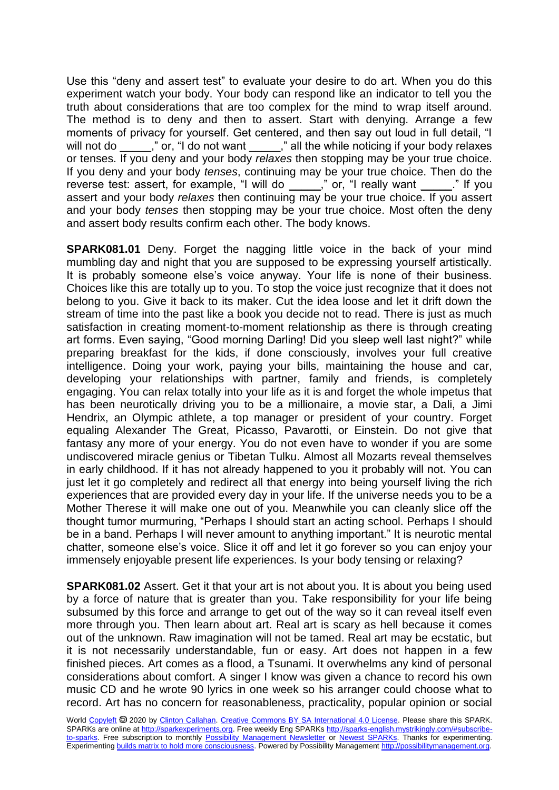Use this "deny and assert test" to evaluate your desire to do art. When you do this experiment watch your body. Your body can respond like an indicator to tell you the truth about considerations that are too complex for the mind to wrap itself around. The method is to deny and then to assert. Start with denying. Arrange a few moments of privacy for yourself. Get centered, and then say out loud in full detail, "I will not do \_\_\_\_," or, "I do not want \_\_\_\_," all the while noticing if your body relaxes or tenses. If you deny and your body *relaxes* then stopping may be your true choice. If you deny and your body *tenses*, continuing may be your true choice. Then do the reverse test: assert, for example, "I will do \_\_\_\_\_," or, "I really want \_\_\_\_\_." If you assert and your body *relaxes* then continuing may be your true choice. If you assert and your body *tenses* then stopping may be your true choice. Most often the deny and assert body results confirm each other. The body knows.

**SPARK081.01** Deny. Forget the nagging little voice in the back of your mind mumbling day and night that you are supposed to be expressing yourself artistically. It is probably someone else's voice anyway. Your life is none of their business. Choices like this are totally up to you. To stop the voice just recognize that it does not belong to you. Give it back to its maker. Cut the idea loose and let it drift down the stream of time into the past like a book you decide not to read. There is just as much satisfaction in creating moment-to-moment relationship as there is through creating art forms. Even saying, "Good morning Darling! Did you sleep well last night?" while preparing breakfast for the kids, if done consciously, involves your full creative intelligence. Doing your work, paying your bills, maintaining the house and car, developing your relationships with partner, family and friends, is completely engaging. You can relax totally into your life as it is and forget the whole impetus that has been neurotically driving you to be a millionaire, a movie star, a Dali, a Jimi Hendrix, an Olympic athlete, a top manager or president of your country. Forget equaling Alexander The Great, Picasso, Pavarotti, or Einstein. Do not give that fantasy any more of your energy. You do not even have to wonder if you are some undiscovered miracle genius or Tibetan Tulku. Almost all Mozarts reveal themselves in early childhood. If it has not already happened to you it probably will not. You can just let it go completely and redirect all that energy into being yourself living the rich experiences that are provided every day in your life. If the universe needs you to be a Mother Therese it will make one out of you. Meanwhile you can cleanly slice off the thought tumor murmuring, "Perhaps I should start an acting school. Perhaps I should be in a band. Perhaps I will never amount to anything important." It is neurotic mental chatter, someone else's voice. Slice it off and let it go forever so you can enjoy your immensely enjoyable present life experiences. Is your body tensing or relaxing?

**SPARK081.02** Assert. Get it that your art is not about you. It is about you being used by a force of nature that is greater than you. Take responsibility for your life being subsumed by this force and arrange to get out of the way so it can reveal itself even more through you. Then learn about art. Real art is scary as hell because it comes out of the unknown. Raw imagination will not be tamed. Real art may be ecstatic, but it is not necessarily understandable, fun or easy. Art does not happen in a few finished pieces. Art comes as a flood, a Tsunami. It overwhelms any kind of personal considerations about comfort. A singer I know was given a chance to record his own music CD and he wrote 90 lyrics in one week so his arranger could choose what to record. Art has no concern for reasonableness, practicality, popular opinion or social